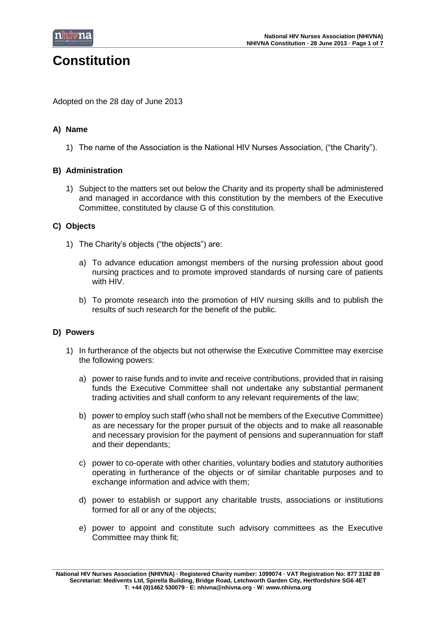

# **Constitution**

Adopted on the 28 day of June 2013

# **A) Name**

1) The name of the Association is the National HIV Nurses Association, ("the Charity").

# **B) Administration**

1) Subject to the matters set out below the Charity and its property shall be administered and managed in accordance with this constitution by the members of the Executive Committee, constituted by clause G of this constitution.

# **C) Objects**

- 1) The Charity's objects ("the objects") are:
	- a) To advance education amongst members of the nursing profession about good nursing practices and to promote improved standards of nursing care of patients with HIV.
	- b) To promote research into the promotion of HIV nursing skills and to publish the results of such research for the benefit of the public.

# **D) Powers**

- 1) In furtherance of the objects but not otherwise the Executive Committee may exercise the following powers:
	- a) power to raise funds and to invite and receive contributions, provided that in raising funds the Executive Committee shall not undertake any substantial permanent trading activities and shall conform to any relevant requirements of the law;
	- b) power to employ such staff (who shall not be members of the Executive Committee) as are necessary for the proper pursuit of the objects and to make all reasonable and necessary provision for the payment of pensions and superannuation for staff and their dependants;
	- c) power to co-operate with other charities, voluntary bodies and statutory authorities operating in furtherance of the objects or of similar charitable purposes and to exchange information and advice with them;
	- d) power to establish or support any charitable trusts, associations or institutions formed for all or any of the objects;
	- e) power to appoint and constitute such advisory committees as the Executive Committee may think fit;

**National HIV Nurses Association (NHIVNA) · Registered Charity number: 1099074 · VAT Registration No: 877 3182 89 Secretariat: Medivents Ltd, Spirella Building, Bridge Road, Letchworth Garden City, Hertfordshire SG6 4ET T: +44 (0)1462 530079 · E: nhivna@nhivna.org · W: www.nhivna.org**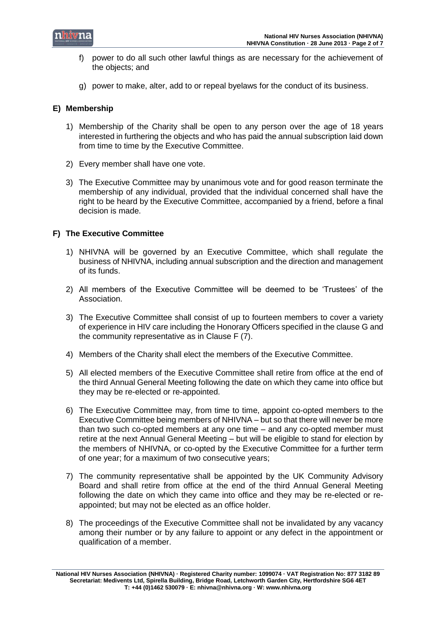

- f) power to do all such other lawful things as are necessary for the achievement of the objects; and
- g) power to make, alter, add to or repeal byelaws for the conduct of its business.

# **E) Membership**

- 1) Membership of the Charity shall be open to any person over the age of 18 years interested in furthering the objects and who has paid the annual subscription laid down from time to time by the Executive Committee.
- 2) Every member shall have one vote.
- 3) The Executive Committee may by unanimous vote and for good reason terminate the membership of any individual, provided that the individual concerned shall have the right to be heard by the Executive Committee, accompanied by a friend, before a final decision is made.

# **F) The Executive Committee**

- 1) NHIVNA will be governed by an Executive Committee, which shall regulate the business of NHIVNA, including annual subscription and the direction and management of its funds.
- 2) All members of the Executive Committee will be deemed to be 'Trustees' of the Association.
- 3) The Executive Committee shall consist of up to fourteen members to cover a variety of experience in HIV care including the Honorary Officers specified in the clause G and the community representative as in Clause F (7).
- 4) Members of the Charity shall elect the members of the Executive Committee.
- 5) All elected members of the Executive Committee shall retire from office at the end of the third Annual General Meeting following the date on which they came into office but they may be re-elected or re-appointed.
- 6) The Executive Committee may, from time to time, appoint co-opted members to the Executive Committee being members of NHIVNA – but so that there will never be more than two such co-opted members at any one time – and any co-opted member must retire at the next Annual General Meeting – but will be eligible to stand for election by the members of NHIVNA, or co-opted by the Executive Committee for a further term of one year; for a maximum of two consecutive years;
- 7) The community representative shall be appointed by the UK Community Advisory Board and shall retire from office at the end of the third Annual General Meeting following the date on which they came into office and they may be re-elected or reappointed; but may not be elected as an office holder.
- 8) The proceedings of the Executive Committee shall not be invalidated by any vacancy among their number or by any failure to appoint or any defect in the appointment or qualification of a member.

**National HIV Nurses Association (NHIVNA) · Registered Charity number: 1099074 · VAT Registration No: 877 3182 89 Secretariat: Medivents Ltd, Spirella Building, Bridge Road, Letchworth Garden City, Hertfordshire SG6 4ET T: +44 (0)1462 530079 · E: nhivna@nhivna.org · W: www.nhivna.org**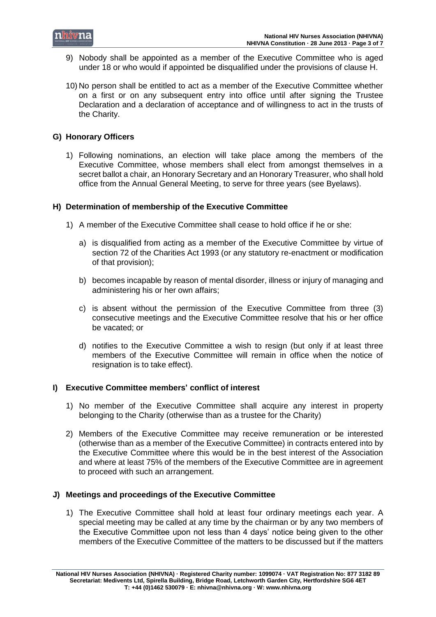

- 9) Nobody shall be appointed as a member of the Executive Committee who is aged under 18 or who would if appointed be disqualified under the provisions of clause H.
- 10) No person shall be entitled to act as a member of the Executive Committee whether on a first or on any subsequent entry into office until after signing the Trustee Declaration and a declaration of acceptance and of willingness to act in the trusts of the Charity.

# **G) Honorary Officers**

1) Following nominations, an election will take place among the members of the Executive Committee, whose members shall elect from amongst themselves in a secret ballot a chair, an Honorary Secretary and an Honorary Treasurer, who shall hold office from the Annual General Meeting, to serve for three years (see Byelaws).

# **H) Determination of membership of the Executive Committee**

- 1) A member of the Executive Committee shall cease to hold office if he or she:
	- a) is disqualified from acting as a member of the Executive Committee by virtue of section 72 of the Charities Act 1993 (or any statutory re-enactment or modification of that provision);
	- b) becomes incapable by reason of mental disorder, illness or injury of managing and administering his or her own affairs;
	- c) is absent without the permission of the Executive Committee from three (3) consecutive meetings and the Executive Committee resolve that his or her office be vacated; or
	- d) notifies to the Executive Committee a wish to resign (but only if at least three members of the Executive Committee will remain in office when the notice of resignation is to take effect).

#### **I) Executive Committee members' conflict of interest**

- 1) No member of the Executive Committee shall acquire any interest in property belonging to the Charity (otherwise than as a trustee for the Charity)
- 2) Members of the Executive Committee may receive remuneration or be interested (otherwise than as a member of the Executive Committee) in contracts entered into by the Executive Committee where this would be in the best interest of the Association and where at least 75% of the members of the Executive Committee are in agreement to proceed with such an arrangement.

#### **J) Meetings and proceedings of the Executive Committee**

1) The Executive Committee shall hold at least four ordinary meetings each year. A special meeting may be called at any time by the chairman or by any two members of the Executive Committee upon not less than 4 days' notice being given to the other members of the Executive Committee of the matters to be discussed but if the matters

**National HIV Nurses Association (NHIVNA) · Registered Charity number: 1099074 · VAT Registration No: 877 3182 89 Secretariat: Medivents Ltd, Spirella Building, Bridge Road, Letchworth Garden City, Hertfordshire SG6 4ET T: +44 (0)1462 530079 · E: nhivna@nhivna.org · W: www.nhivna.org**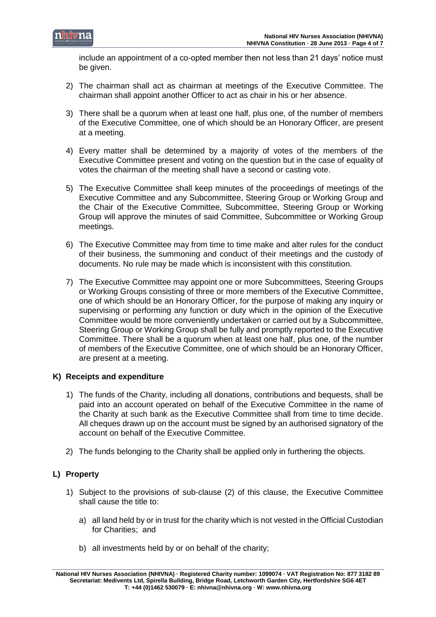

include an appointment of a co-opted member then not less than 21 days' notice must be given.

- 2) The chairman shall act as chairman at meetings of the Executive Committee. The chairman shall appoint another Officer to act as chair in his or her absence.
- 3) There shall be a quorum when at least one half, plus one, of the number of members of the Executive Committee, one of which should be an Honorary Officer, are present at a meeting.
- 4) Every matter shall be determined by a majority of votes of the members of the Executive Committee present and voting on the question but in the case of equality of votes the chairman of the meeting shall have a second or casting vote.
- 5) The Executive Committee shall keep minutes of the proceedings of meetings of the Executive Committee and any Subcommittee, Steering Group or Working Group and the Chair of the Executive Committee, Subcommittee, Steering Group or Working Group will approve the minutes of said Committee, Subcommittee or Working Group meetings.
- 6) The Executive Committee may from time to time make and alter rules for the conduct of their business, the summoning and conduct of their meetings and the custody of documents. No rule may be made which is inconsistent with this constitution.
- 7) The Executive Committee may appoint one or more Subcommittees, Steering Groups or Working Groups consisting of three or more members of the Executive Committee, one of which should be an Honorary Officer, for the purpose of making any inquiry or supervising or performing any function or duty which in the opinion of the Executive Committee would be more conveniently undertaken or carried out by a Subcommittee, Steering Group or Working Group shall be fully and promptly reported to the Executive Committee. There shall be a quorum when at least one half, plus one, of the number of members of the Executive Committee, one of which should be an Honorary Officer, are present at a meeting.

# **K) Receipts and expenditure**

- 1) The funds of the Charity, including all donations, contributions and bequests, shall be paid into an account operated on behalf of the Executive Committee in the name of the Charity at such bank as the Executive Committee shall from time to time decide. All cheques drawn up on the account must be signed by an authorised signatory of the account on behalf of the Executive Committee.
- 2) The funds belonging to the Charity shall be applied only in furthering the objects.

# **L) Property**

- 1) Subject to the provisions of sub-clause (2) of this clause, the Executive Committee shall cause the title to:
	- a) all land held by or in trust for the charity which is not vested in the Official Custodian for Charities; and
	- b) all investments held by or on behalf of the charity;

**National HIV Nurses Association (NHIVNA) · Registered Charity number: 1099074 · VAT Registration No: 877 3182 89 Secretariat: Medivents Ltd, Spirella Building, Bridge Road, Letchworth Garden City, Hertfordshire SG6 4ET T: +44 (0)1462 530079 · E: nhivna@nhivna.org · W: www.nhivna.org**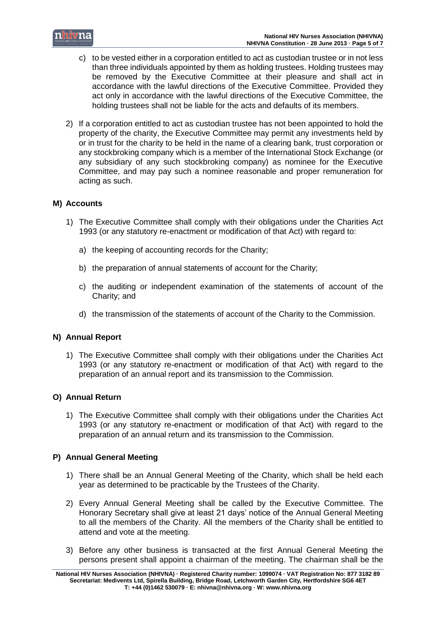

- c) to be vested either in a corporation entitled to act as custodian trustee or in not less than three individuals appointed by them as holding trustees. Holding trustees may be removed by the Executive Committee at their pleasure and shall act in accordance with the lawful directions of the Executive Committee. Provided they act only in accordance with the lawful directions of the Executive Committee, the holding trustees shall not be liable for the acts and defaults of its members.
- 2) If a corporation entitled to act as custodian trustee has not been appointed to hold the property of the charity, the Executive Committee may permit any investments held by or in trust for the charity to be held in the name of a clearing bank, trust corporation or any stockbroking company which is a member of the International Stock Exchange (or any subsidiary of any such stockbroking company) as nominee for the Executive Committee, and may pay such a nominee reasonable and proper remuneration for acting as such.

# **M) Accounts**

- 1) The Executive Committee shall comply with their obligations under the Charities Act 1993 (or any statutory re-enactment or modification of that Act) with regard to:
	- a) the keeping of accounting records for the Charity;
	- b) the preparation of annual statements of account for the Charity;
	- c) the auditing or independent examination of the statements of account of the Charity; and
	- d) the transmission of the statements of account of the Charity to the Commission.

# **N) Annual Report**

1) The Executive Committee shall comply with their obligations under the Charities Act 1993 (or any statutory re-enactment or modification of that Act) with regard to the preparation of an annual report and its transmission to the Commission.

# **O) Annual Return**

1) The Executive Committee shall comply with their obligations under the Charities Act 1993 (or any statutory re-enactment or modification of that Act) with regard to the preparation of an annual return and its transmission to the Commission.

# **P) Annual General Meeting**

- 1) There shall be an Annual General Meeting of the Charity, which shall be held each year as determined to be practicable by the Trustees of the Charity.
- 2) Every Annual General Meeting shall be called by the Executive Committee. The Honorary Secretary shall give at least 21 days' notice of the Annual General Meeting to all the members of the Charity. All the members of the Charity shall be entitled to attend and vote at the meeting.
- 3) Before any other business is transacted at the first Annual General Meeting the persons present shall appoint a chairman of the meeting. The chairman shall be the

**National HIV Nurses Association (NHIVNA) · Registered Charity number: 1099074 · VAT Registration No: 877 3182 89 Secretariat: Medivents Ltd, Spirella Building, Bridge Road, Letchworth Garden City, Hertfordshire SG6 4ET T: +44 (0)1462 530079 · E: nhivna@nhivna.org · W: www.nhivna.org**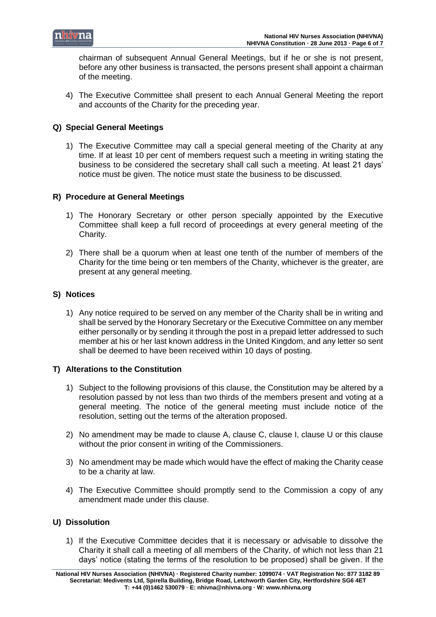

chairman of subsequent Annual General Meetings, but if he or she is not present, before any other business is transacted, the persons present shall appoint a chairman of the meeting.

4) The Executive Committee shall present to each Annual General Meeting the report and accounts of the Charity for the preceding year.

# **Q) Special General Meetings**

1) The Executive Committee may call a special general meeting of the Charity at any time. If at least 10 per cent of members request such a meeting in writing stating the business to be considered the secretary shall call such a meeting. At least 21 days' notice must be given. The notice must state the business to be discussed.

# **R) Procedure at General Meetings**

- 1) The Honorary Secretary or other person specially appointed by the Executive Committee shall keep a full record of proceedings at every general meeting of the Charity.
- 2) There shall be a quorum when at least one tenth of the number of members of the Charity for the time being or ten members of the Charity, whichever is the greater, are present at any general meeting.

# **S) Notices**

1) Any notice required to be served on any member of the Charity shall be in writing and shall be served by the Honorary Secretary or the Executive Committee on any member either personally or by sending it through the post in a prepaid letter addressed to such member at his or her last known address in the United Kingdom, and any letter so sent shall be deemed to have been received within 10 days of posting.

# **T) Alterations to the Constitution**

- 1) Subject to the following provisions of this clause, the Constitution may be altered by a resolution passed by not less than two thirds of the members present and voting at a general meeting. The notice of the general meeting must include notice of the resolution, setting out the terms of the alteration proposed.
- 2) No amendment may be made to clause A, clause C, clause I, clause U or this clause without the prior consent in writing of the Commissioners.
- 3) No amendment may be made which would have the effect of making the Charity cease to be a charity at law.
- 4) The Executive Committee should promptly send to the Commission a copy of any amendment made under this clause.

# **U) Dissolution**

1) If the Executive Committee decides that it is necessary or advisable to dissolve the Charity it shall call a meeting of all members of the Charity, of which not less than 21 days' notice (stating the terms of the resolution to be proposed) shall be given. If the

**National HIV Nurses Association (NHIVNA) · Registered Charity number: 1099074 · VAT Registration No: 877 3182 89 Secretariat: Medivents Ltd, Spirella Building, Bridge Road, Letchworth Garden City, Hertfordshire SG6 4ET T: +44 (0)1462 530079 · E: nhivna@nhivna.org · W: www.nhivna.org**